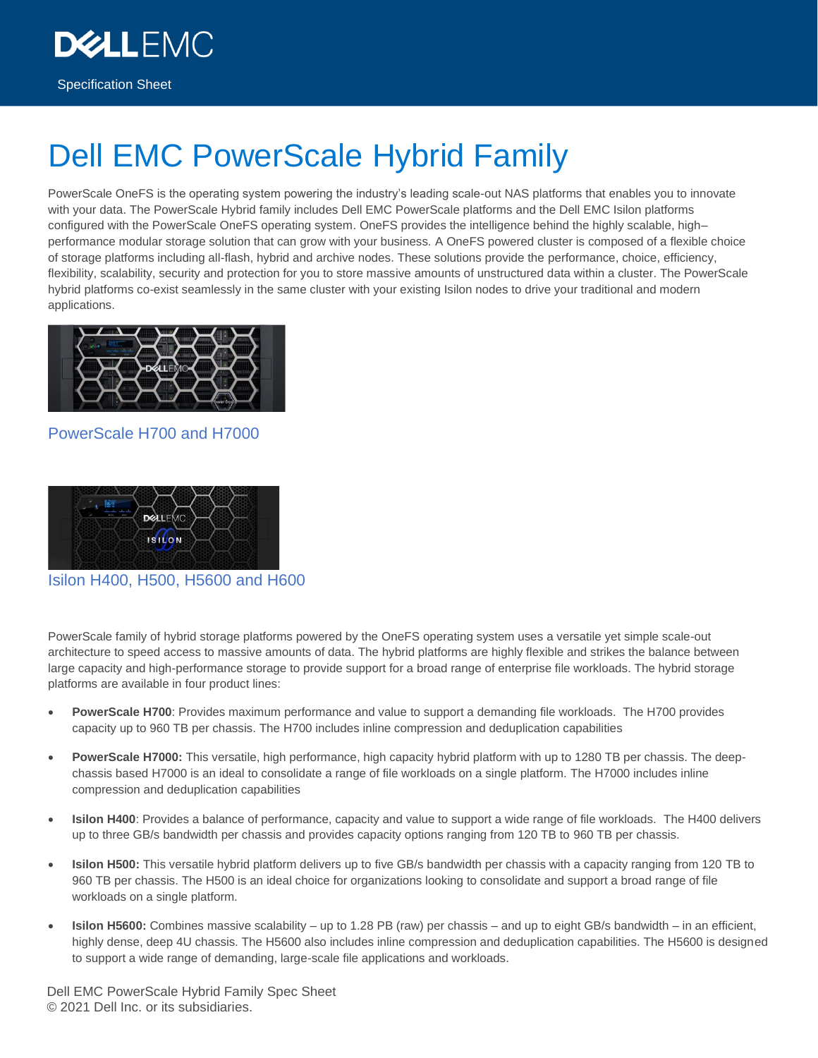Specification Sheet

**DEALLEMO** 

# Dell EMC PowerScale Hybrid Family

PowerScale OneFS is the operating system powering the industry's leading scale-out NAS platforms that enables you to innovate with your data. The PowerScale Hybrid family includes Dell EMC PowerScale platforms and the Dell EMC Isilon platforms configured with the PowerScale OneFS operating system. OneFS provides the intelligence behind the highly scalable, high– performance modular storage solution that can grow with your business. A OneFS powered cluster is composed of a flexible choice of storage platforms including all-flash, hybrid and archive nodes. These solutions provide the performance, choice, efficiency, flexibility, scalability, security and protection for you to store massive amounts of unstructured data within a cluster. The PowerScale hybrid platforms co-exist seamlessly in the same cluster with your existing Isilon nodes to drive your traditional and modern applications.



### PowerScale H700 and H7000



Isilon H400, H500, H5600 and H600

PowerScale family of hybrid storage platforms powered by the OneFS operating system uses a versatile yet simple scale-out architecture to speed access to massive amounts of data. The hybrid platforms are highly flexible and strikes the balance between large capacity and high-performance storage to provide support for a broad range of enterprise file workloads. The hybrid storage platforms are available in four product lines:

- **PowerScale H700**: Provides maximum performance and value to support a demanding file workloads. The H700 provides capacity up to 960 TB per chassis. The H700 includes inline compression and deduplication capabilities
- **PowerScale H7000:** This versatile, high performance, high capacity hybrid platform with up to 1280 TB per chassis. The deepchassis based H7000 is an ideal to consolidate a range of file workloads on a single platform. The H7000 includes inline compression and deduplication capabilities
- **Isilon H400**: Provides a balance of performance, capacity and value to support a wide range of file workloads. The H400 delivers up to three GB/s bandwidth per chassis and provides capacity options ranging from 120 TB to 960 TB per chassis.
- **Isilon H500:** This versatile hybrid platform delivers up to five GB/s bandwidth per chassis with a capacity ranging from 120 TB to 960 TB per chassis. The H500 is an ideal choice for organizations looking to consolidate and support a broad range of file workloads on a single platform.
- **Isilon H5600:** Combines massive scalability up to 1.28 PB (raw) per chassis and up to eight GB/s bandwidth in an efficient, highly dense, deep 4U chassis. The H5600 also includes inline compression and deduplication capabilities. The H5600 is designed to support a wide range of demanding, large-scale file applications and workloads.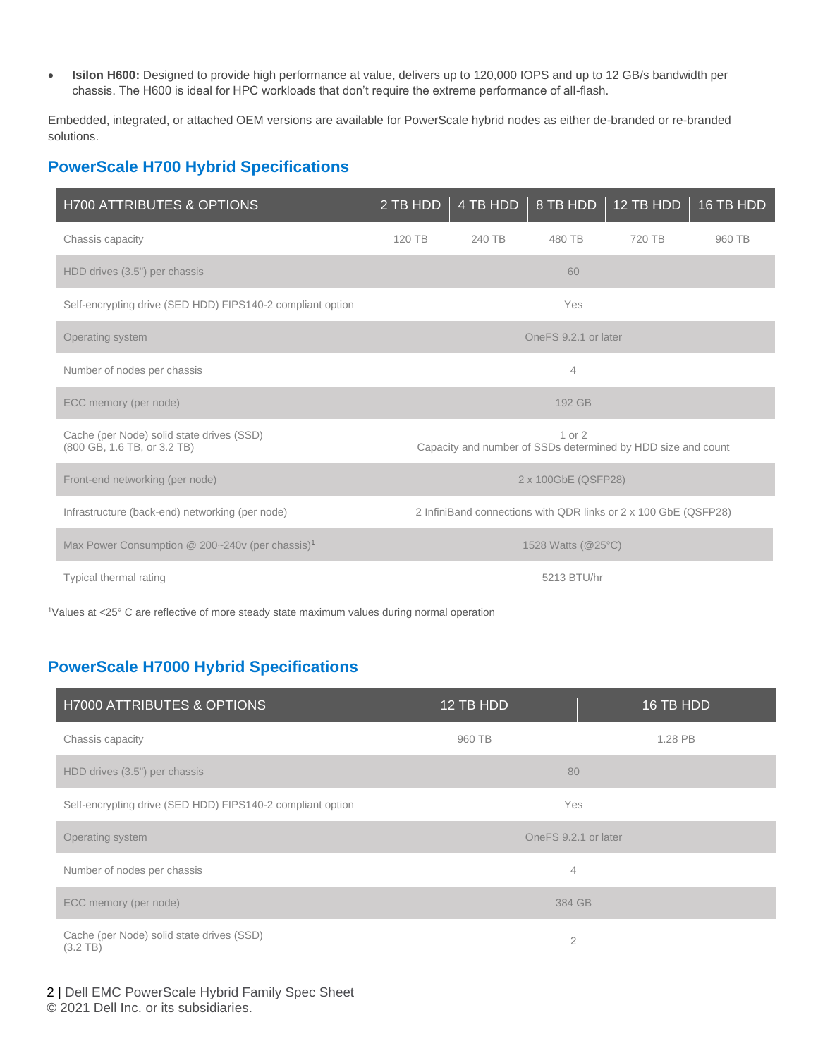• **Isilon H600:** Designed to provide high performance at value, delivers up to 120,000 IOPS and up to 12 GB/s bandwidth per chassis. The H600 is ideal for HPC workloads that don't require the extreme performance of all-flash.

Embedded, integrated, or attached OEM versions are available for PowerScale hybrid nodes as either de-branded or re-branded solutions.

## **PowerScale H700 Hybrid Specifications**

| <b>H700 ATTRIBUTES &amp; OPTIONS</b>                                     | 2 TB HDD | 4 TB HDD | 8 TB HDD             | $12$ TB HDD                                                     | 16 TB HDD |
|--------------------------------------------------------------------------|----------|----------|----------------------|-----------------------------------------------------------------|-----------|
| Chassis capacity                                                         | 120 TB   | 240 TB   | 480 TB               | 720 TB                                                          | 960 TB    |
| HDD drives (3.5") per chassis                                            |          |          | 60                   |                                                                 |           |
| Self-encrypting drive (SED HDD) FIPS140-2 compliant option               |          |          | Yes                  |                                                                 |           |
| Operating system                                                         |          |          | OneFS 9.2.1 or later |                                                                 |           |
| Number of nodes per chassis                                              |          |          | $\overline{4}$       |                                                                 |           |
| ECC memory (per node)                                                    |          |          | 192 GB               |                                                                 |           |
| Cache (per Node) solid state drives (SSD)<br>(800 GB, 1.6 TB, or 3.2 TB) |          |          | 1 or 2               | Capacity and number of SSDs determined by HDD size and count    |           |
| Front-end networking (per node)                                          |          |          | 2 x 100GbE (QSFP28)  |                                                                 |           |
| Infrastructure (back-end) networking (per node)                          |          |          |                      | 2 InfiniBand connections with QDR links or 2 x 100 GbE (QSFP28) |           |
| Max Power Consumption @ 200~240v (per chassis) <sup>1</sup>              |          |          | 1528 Watts (@25°C)   |                                                                 |           |
| Typical thermal rating                                                   |          |          | 5213 BTU/hr          |                                                                 |           |

<sup>1</sup>Values at <25° C are reflective of more steady state maximum values during normal operation

## **PowerScale H7000 Hybrid Specifications**

| <b>H7000 ATTRIBUTES &amp; OPTIONS</b>                           | 12 TB HDD            | $16$ TB HDD |  |
|-----------------------------------------------------------------|----------------------|-------------|--|
| Chassis capacity                                                | 960 TB               | 1.28 PB     |  |
| HDD drives (3.5") per chassis                                   | 80                   |             |  |
| Self-encrypting drive (SED HDD) FIPS140-2 compliant option      | Yes                  |             |  |
| Operating system                                                | OneFS 9.2.1 or later |             |  |
| Number of nodes per chassis                                     | $\overline{4}$       |             |  |
| ECC memory (per node)                                           | 384 GB               |             |  |
| Cache (per Node) solid state drives (SSD)<br>$(3.2 \text{ TB})$ | $\overline{2}$       |             |  |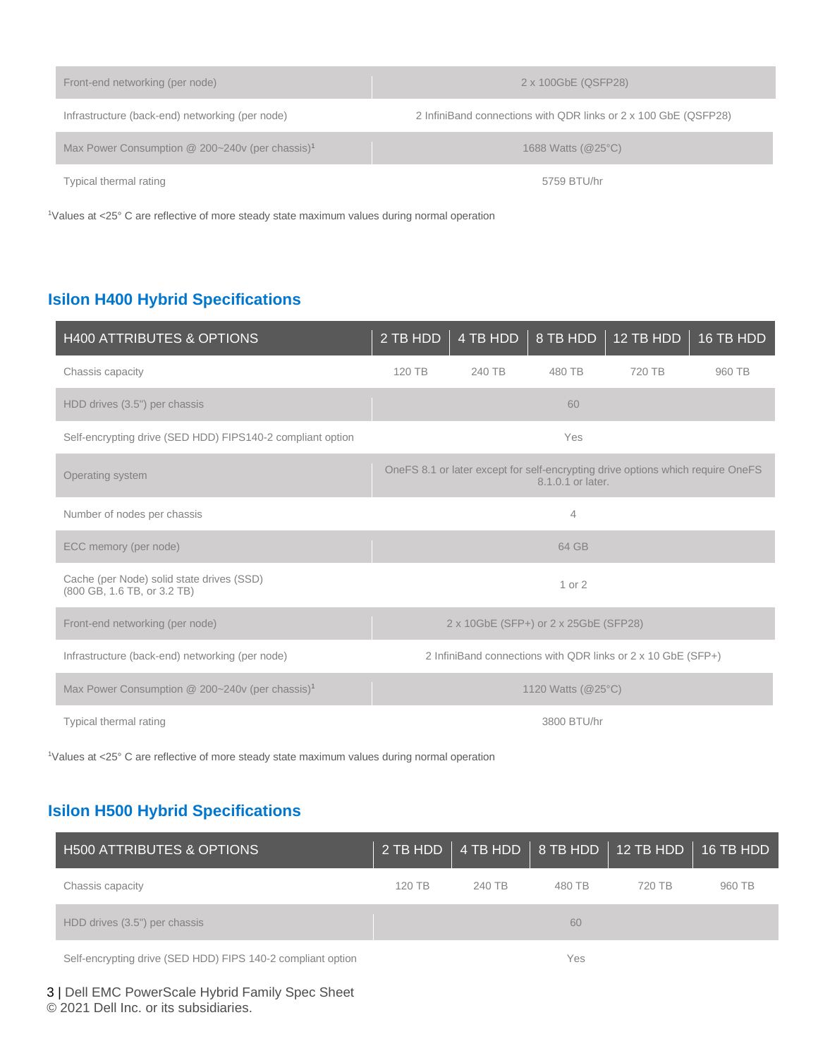| 2 x 100GbE (QSFP28)                                             |
|-----------------------------------------------------------------|
| 2 InfiniBand connections with QDR links or 2 x 100 GbE (QSFP28) |
| 1688 Watts (@25°C)                                              |
| 5759 BTU/hr                                                     |
|                                                                 |

<sup>1</sup>Values at <25° C are reflective of more steady state maximum values during normal operation

## **Isilon H400 Hybrid Specifications**

| <b>H400 ATTRIBUTES &amp; OPTIONS</b>                                     | 2 TB HDD | 4 TB HDD                              | 8 TB HDD           | 12 TB HDD                                                                       | 16 TB HDD |
|--------------------------------------------------------------------------|----------|---------------------------------------|--------------------|---------------------------------------------------------------------------------|-----------|
| Chassis capacity                                                         | 120 TB   | 240 TB                                | 480 TB             | 720 TB                                                                          | 960 TB    |
| HDD drives (3.5") per chassis                                            |          |                                       | 60                 |                                                                                 |           |
| Self-encrypting drive (SED HDD) FIPS140-2 compliant option               |          |                                       | Yes                |                                                                                 |           |
| Operating system                                                         |          |                                       | 8.1.0.1 or later.  | OneFS 8.1 or later except for self-encrypting drive options which require OneFS |           |
| Number of nodes per chassis                                              |          |                                       | 4                  |                                                                                 |           |
| ECC memory (per node)                                                    |          |                                       | 64 GB              |                                                                                 |           |
| Cache (per Node) solid state drives (SSD)<br>(800 GB, 1.6 TB, or 3.2 TB) |          |                                       | 1 or 2             |                                                                                 |           |
| Front-end networking (per node)                                          |          | 2 x 10GbE (SFP+) or 2 x 25GbE (SFP28) |                    |                                                                                 |           |
| Infrastructure (back-end) networking (per node)                          |          |                                       |                    | 2 InfiniBand connections with QDR links or 2 x 10 GbE (SFP+)                    |           |
| Max Power Consumption @ 200~240v (per chassis) <sup>1</sup>              |          |                                       | 1120 Watts (@25°C) |                                                                                 |           |
| Typical thermal rating                                                   |          |                                       | 3800 BTU/hr        |                                                                                 |           |

<sup>1</sup>Values at <25° C are reflective of more steady state maximum values during normal operation

## **Isilon H500 Hybrid Specifications**

| <b>H500 ATTRIBUTES &amp; OPTIONS</b> |        |        |        | 2 TB HDD   4 TB HDD   8 TB HDD   12 TB HDD   16 TB HDD |        |
|--------------------------------------|--------|--------|--------|--------------------------------------------------------|--------|
| Chassis capacity                     | 120 TB | 240 TB | 480 TB | 720 TB                                                 | 960 TB |
| HDD drives (3.5") per chassis        |        |        | 60     |                                                        |        |
|                                      |        |        |        |                                                        |        |

Self-encrypting drive (SED HDD) FIPS 140-2 compliant option Yes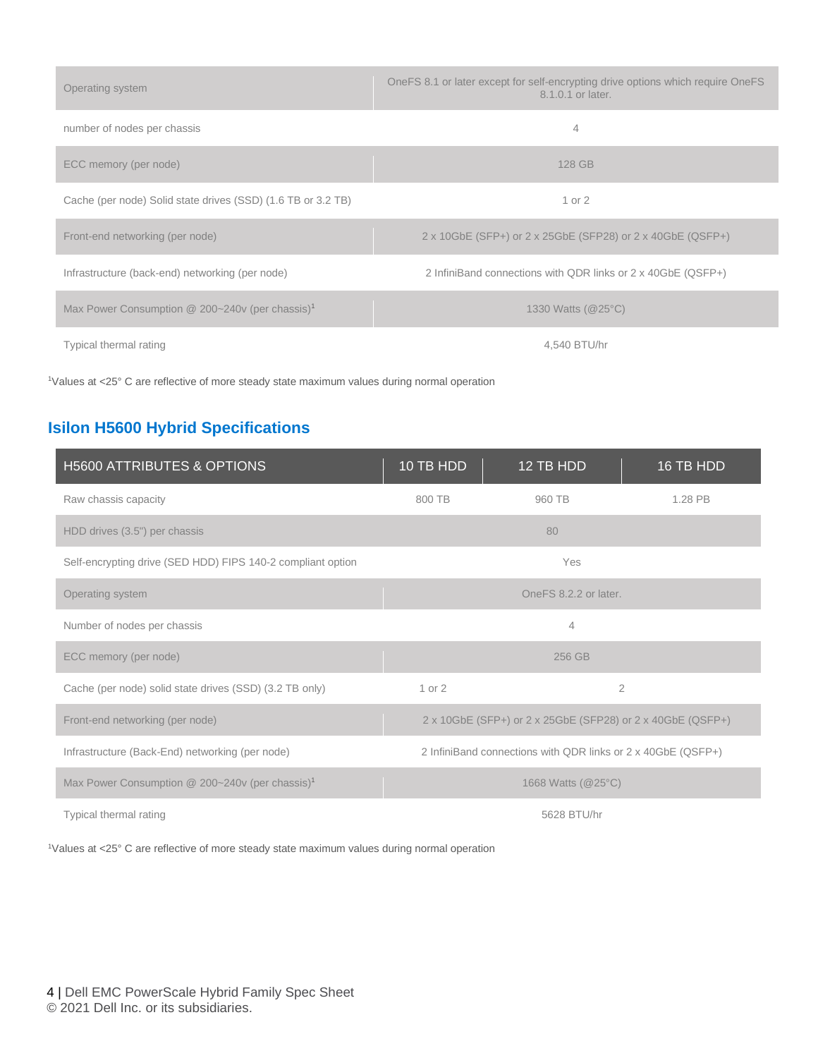| Operating system                                              | OneFS 8.1 or later except for self-encrypting drive options which require OneFS<br>8.1.0.1 or later. |
|---------------------------------------------------------------|------------------------------------------------------------------------------------------------------|
| number of nodes per chassis                                   | 4                                                                                                    |
| ECC memory (per node)                                         | 128 GB                                                                                               |
| Cache (per node) Solid state drives (SSD) (1.6 TB or 3.2 TB)  | 1 or 2                                                                                               |
| Front-end networking (per node)                               | 2 x 10GbE (SFP+) or 2 x 25GbE (SFP28) or 2 x 40GbE (QSFP+)                                           |
| Infrastructure (back-end) networking (per node)               | 2 InfiniBand connections with QDR links or 2 x 40GbE (QSFP+)                                         |
| Max Power Consumption $@$ 200~240v (per chassis) <sup>1</sup> | 1330 Watts (@25°C)                                                                                   |
| Typical thermal rating                                        | 4.540 BTU/hr                                                                                         |

<sup>1</sup>Values at <25° C are reflective of more steady state maximum values during normal operation

## **Isilon H5600 Hybrid Specifications**

| <b>H5600 ATTRIBUTES &amp; OPTIONS</b>                       | 10 TB HDD | 12 TB HDD                                                    | 16 TB HDD      |
|-------------------------------------------------------------|-----------|--------------------------------------------------------------|----------------|
| Raw chassis capacity                                        | 800 TB    | 960 TB                                                       | 1.28 PB        |
| HDD drives (3.5") per chassis                               |           | 80                                                           |                |
| Self-encrypting drive (SED HDD) FIPS 140-2 compliant option |           | Yes                                                          |                |
| Operating system                                            |           | OneFS 8.2.2 or later.                                        |                |
| Number of nodes per chassis                                 |           | $\overline{4}$                                               |                |
| ECC memory (per node)                                       |           | 256 GB                                                       |                |
| Cache (per node) solid state drives (SSD) (3.2 TB only)     | 1 or 2    |                                                              | $\overline{2}$ |
| Front-end networking (per node)                             |           | 2 x 10GbE (SFP+) or 2 x 25GbE (SFP28) or 2 x 40GbE (QSFP+)   |                |
| Infrastructure (Back-End) networking (per node)             |           | 2 InfiniBand connections with QDR links or 2 x 40GbE (QSFP+) |                |
| Max Power Consumption @ 200~240v (per chassis) <sup>1</sup> |           | 1668 Watts (@25°C)                                           |                |
| Typical thermal rating                                      |           | 5628 BTU/hr                                                  |                |

1Values at <25° C are reflective of more steady state maximum values during normal operation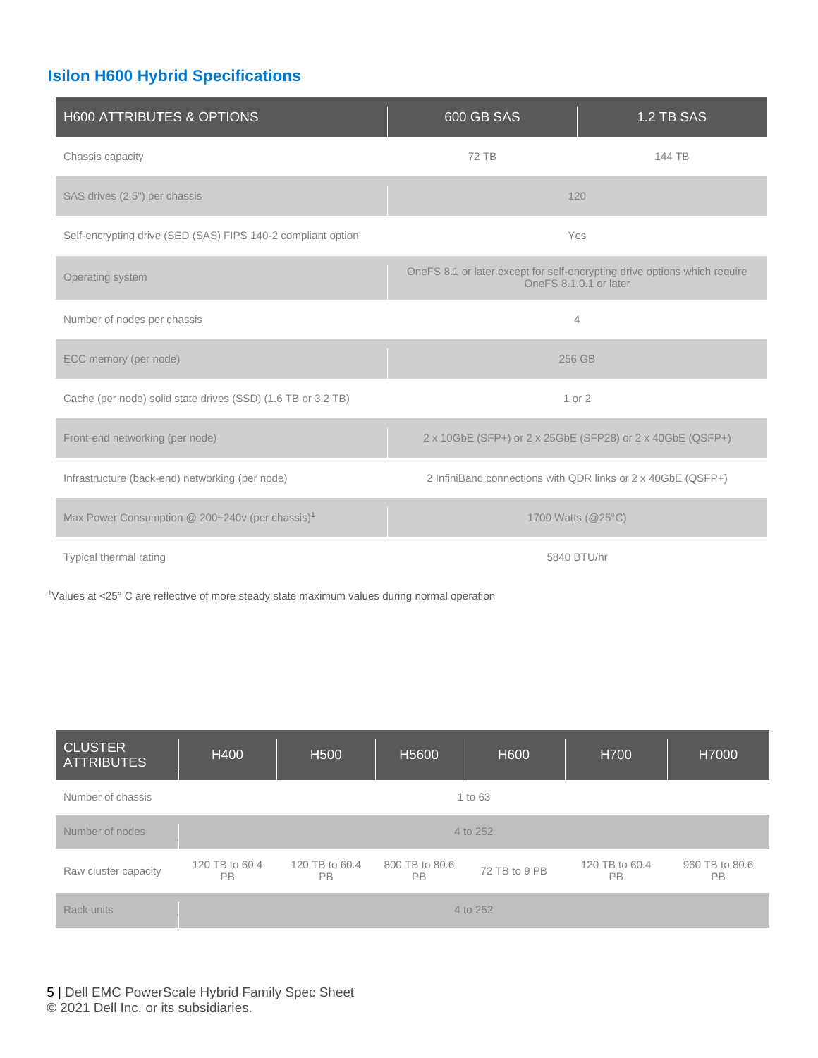## **Isilon H600 Hybrid Specifications**

| H600 ATTRIBUTES & OPTIONS                                    | 600 GB SAS                                                                                          | 1.2 TB SAS |  |  |
|--------------------------------------------------------------|-----------------------------------------------------------------------------------------------------|------------|--|--|
| Chassis capacity                                             | <b>72 TB</b>                                                                                        | 144 TB     |  |  |
| SAS drives (2.5") per chassis                                | 120                                                                                                 |            |  |  |
| Self-encrypting drive (SED (SAS) FIPS 140-2 compliant option | Yes                                                                                                 |            |  |  |
| Operating system                                             | OneFS 8.1 or later except for self-encrypting drive options which require<br>OneFS 8.1.0.1 or later |            |  |  |
| Number of nodes per chassis                                  | $\overline{4}$                                                                                      |            |  |  |
| ECC memory (per node)                                        | 256 GB                                                                                              |            |  |  |
| Cache (per node) solid state drives (SSD) (1.6 TB or 3.2 TB) | 1 or 2                                                                                              |            |  |  |
| Front-end networking (per node)                              | 2 x 10GbE (SFP+) or 2 x 25GbE (SFP28) or 2 x 40GbE (QSFP+)                                          |            |  |  |
| Infrastructure (back-end) networking (per node)              | 2 InfiniBand connections with QDR links or 2 x 40GbE (QSFP+)                                        |            |  |  |
| Max Power Consumption @ 200~240v (per chassis) <sup>1</sup>  | 1700 Watts (@25°C)                                                                                  |            |  |  |
| Typical thermal rating                                       | 5840 BTU/hr                                                                                         |            |  |  |

<sup>1</sup>Values at <25° C are reflective of more steady state maximum values during normal operation

| <b>CLUSTER</b><br><b>ATTRIBUTES</b> | H400                 | H <sub>500</sub>            | H <sub>5600</sub>           | H600          | H700                        | H7000                       |
|-------------------------------------|----------------------|-----------------------------|-----------------------------|---------------|-----------------------------|-----------------------------|
| Number of chassis                   | 1 to 63              |                             |                             |               |                             |                             |
| Number of nodes                     |                      |                             |                             | 4 to 252      |                             |                             |
| Raw cluster capacity                | 120 TB to 60.4<br>PB | 120 TB to 60.4<br><b>PB</b> | 800 TB to 80.6<br><b>PB</b> | 72 TB to 9 PB | 120 TB to 60.4<br><b>PB</b> | 960 TB to 80.6<br><b>PB</b> |
| Rack units                          |                      |                             |                             | 4 to 252      |                             |                             |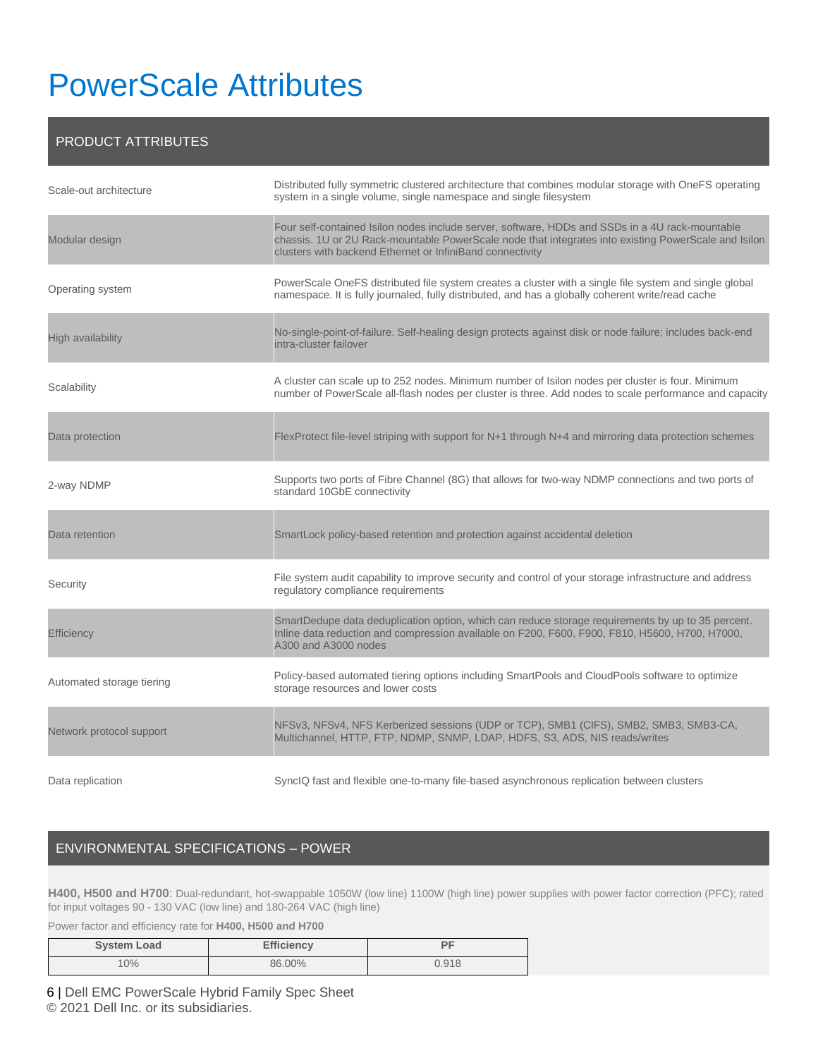# PowerScale Attributes

### PRODUCT ATTRIBUTES

| Scale-out architecture    | Distributed fully symmetric clustered architecture that combines modular storage with OneFS operating<br>system in a single volume, single namespace and single filesystem                                                                                           |
|---------------------------|----------------------------------------------------------------------------------------------------------------------------------------------------------------------------------------------------------------------------------------------------------------------|
| Modular design            | Four self-contained Isilon nodes include server, software, HDDs and SSDs in a 4U rack-mountable<br>chassis. 1U or 2U Rack-mountable PowerScale node that integrates into existing PowerScale and Isilon<br>clusters with backend Ethernet or InfiniBand connectivity |
| Operating system          | PowerScale OneFS distributed file system creates a cluster with a single file system and single global<br>namespace. It is fully journaled, fully distributed, and has a globally coherent write/read cache                                                          |
| High availability         | No-single-point-of-failure. Self-healing design protects against disk or node failure; includes back-end<br>intra-cluster failover                                                                                                                                   |
| Scalability               | A cluster can scale up to 252 nodes. Minimum number of Isilon nodes per cluster is four. Minimum<br>number of PowerScale all-flash nodes per cluster is three. Add nodes to scale performance and capacity                                                           |
| Data protection           | FlexProtect file-level striping with support for N+1 through N+4 and mirroring data protection schemes                                                                                                                                                               |
| 2-way NDMP                | Supports two ports of Fibre Channel (8G) that allows for two-way NDMP connections and two ports of<br>standard 10GbE connectivity                                                                                                                                    |
| Data retention            | SmartLock policy-based retention and protection against accidental deletion                                                                                                                                                                                          |
| Security                  | File system audit capability to improve security and control of your storage infrastructure and address<br>regulatory compliance requirements                                                                                                                        |
| Efficiency                | SmartDedupe data deduplication option, which can reduce storage requirements by up to 35 percent.<br>Inline data reduction and compression available on F200, F600, F900, F810, H5600, H700, H7000,<br>A300 and A3000 nodes                                          |
| Automated storage tiering | Policy-based automated tiering options including SmartPools and CloudPools software to optimize<br>storage resources and lower costs                                                                                                                                 |
| Network protocol support  | NFSv3, NFSv4, NFS Kerberized sessions (UDP or TCP), SMB1 (CIFS), SMB2, SMB3, SMB3-CA,<br>Multichannel, HTTP, FTP, NDMP, SNMP, LDAP, HDFS, S3, ADS, NIS reads/writes                                                                                                  |
| Data replication          | SynclQ fast and flexible one-to-many file-based asynchronous replication between clusters                                                                                                                                                                            |

### ENVIRONMENTAL SPECIFICATIONS – POWER

**H400, H500 and H700**: Dual-redundant, hot-swappable 1050W (low line) 1100W (high line) power supplies with power factor correction (PFC); rated for input voltages 90 - 130 VAC (low line) and 180-264 VAC (high line)

Power factor and efficiency rate for **H400, H500 and H700**

| System Load | <b>Efficiency</b> | DE    |
|-------------|-------------------|-------|
| 10%         | 86.00%            | 0.918 |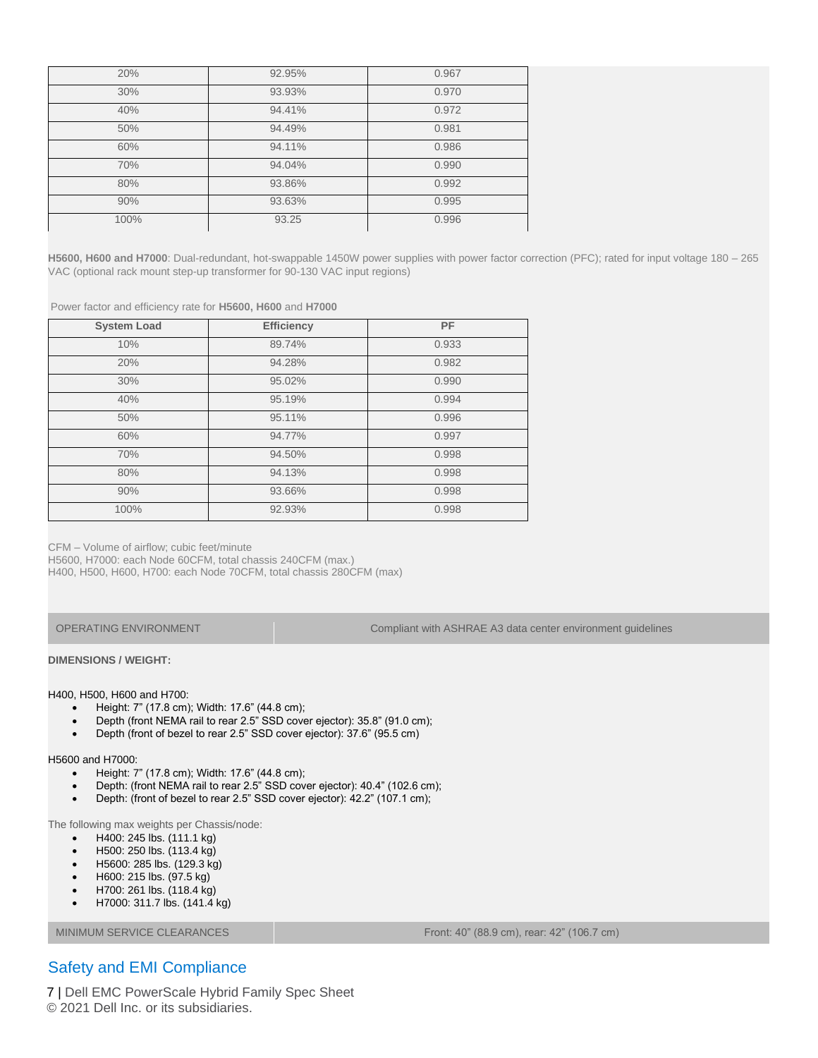| 20%  | 92.95% | 0.967 |
|------|--------|-------|
| 30%  | 93.93% | 0.970 |
| 40%  | 94.41% | 0.972 |
| 50%  | 94.49% | 0.981 |
| 60%  | 94.11% | 0.986 |
| 70%  | 94.04% | 0.990 |
| 80%  | 93.86% | 0.992 |
| 90%  | 93.63% | 0.995 |
| 100% | 93.25  | 0.996 |

**H5600, H600 and H7000**: Dual-redundant, hot-swappable 1450W power supplies with power factor correction (PFC); rated for input voltage 180 – 265 VAC (optional rack mount step-up transformer for 90-130 VAC input regions)

Power factor and efficiency rate for **H5600, H600** and **H7000**

| <b>System Load</b> | <b>Efficiency</b> | PF    |
|--------------------|-------------------|-------|
| 10%                | 89.74%            | 0.933 |
| 20%                | 94.28%            | 0.982 |
| 30%                | 95.02%            | 0.990 |
| 40%                | 95.19%            | 0.994 |
| 50%                | 95.11%            | 0.996 |
| 60%                | 94.77%            | 0.997 |
| 70%                | 94.50%            | 0.998 |
| 80%                | 94.13%            | 0.998 |
| 90%                | 93.66%            | 0.998 |
| 100%               | 92.93%            | 0.998 |

CFM – Volume of airflow; cubic feet/minute

H5600, H7000: each Node 60CFM, total chassis 240CFM (max.)

H400, H500, H600, H700: each Node 70CFM, total chassis 280CFM (max)

OPERATING ENVIRONMENT Compliant with ASHRAE A3 data center environment guidelines

**DIMENSIONS / WEIGHT:**

#### H400, H500, H600 and H700:

- Height: 7" (17.8 cm); Width: 17.6" (44.8 cm);
- Depth (front NEMA rail to rear 2.5" SSD cover ejector): 35.8" (91.0 cm);
- Depth (front of bezel to rear 2.5" SSD cover ejector): 37.6" (95.5 cm)

#### H5600 and H7000:

- Height: 7" (17.8 cm); Width: 17.6" (44.8 cm);
- Depth: (front NEMA rail to rear 2.5" SSD cover ejector): 40.4" (102.6 cm);
- Depth: (front of bezel to rear 2.5" SSD cover ejector): 42.2" (107.1 cm);

The following max weights per Chassis/node:

- H400: 245 lbs. (111.1 kg)
- H500: 250 lbs. (113.4 kg)
- H5600: 285 lbs. (129.3 kg)
- H600: 215 lbs. (97.5 kg)
- H700: 261 lbs. (118.4 kg)
- H7000: 311.7 lbs. (141.4 kg)

MINIMUM SERVICE CLEARANCES Front: 40" (88.9 cm), rear: 42" (106.7 cm)

### Safety and EMI Compliance